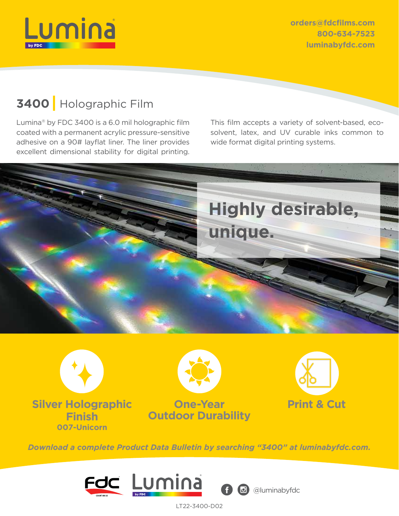

**orders@fdcfilms.com 800-634-7523 luminabyfdc.com**

# **3400** Holographic Film

Lumina® by FDC 3400 is a 6.0 mil holographic film coated with a permanent acrylic pressure-sensitive adhesive on a 90# layflat liner. The liner provides excellent dimensional stability for digital printing. This film accepts a variety of solvent-based, ecosolvent, latex, and UV curable inks common to wide format digital printing systems.







*Download a complete Product Data Bulletin by searching "3400" at luminabyfdc.com.*



LT22-3400-D02